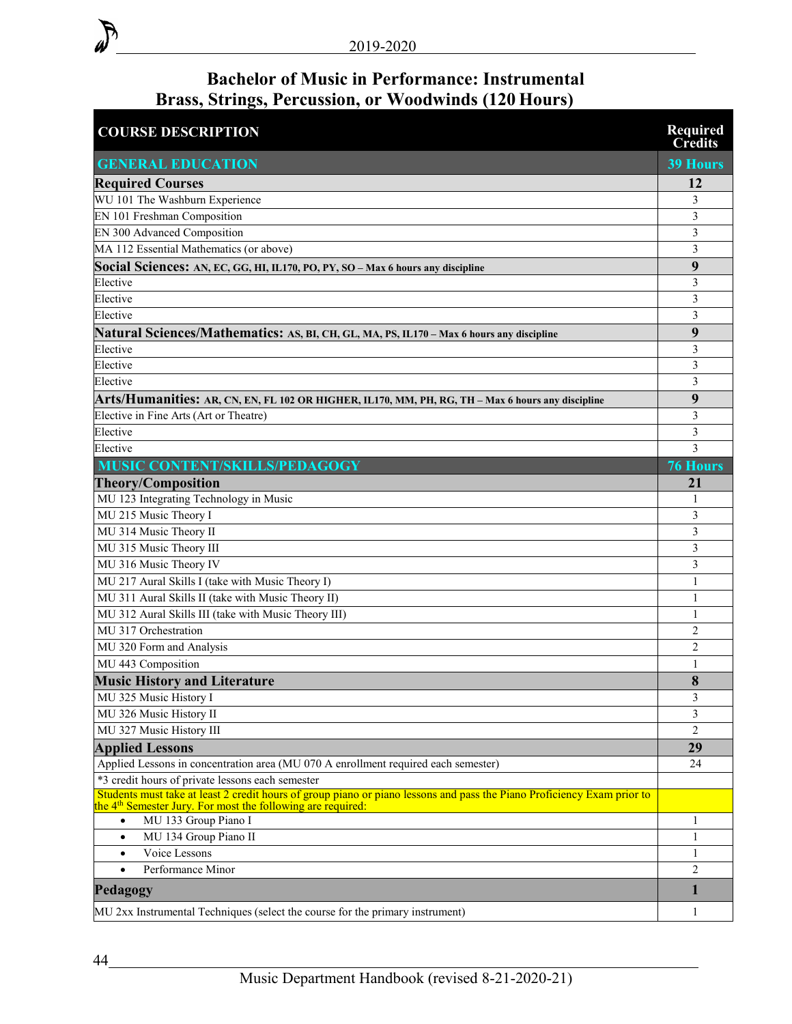## **Bachelor of Music in Performance: Instrumental Brass, Strings, Percussion, or Woodwinds (120 Hours)**

| <b>COURSE DESCRIPTION</b>                                                                                                                                                                          | <b>Required</b><br><b>Credits</b> |
|----------------------------------------------------------------------------------------------------------------------------------------------------------------------------------------------------|-----------------------------------|
| <b>GENERAL EDUCATION</b>                                                                                                                                                                           | <b>39 Hours</b>                   |
| <b>Required Courses</b>                                                                                                                                                                            | 12                                |
| WU 101 The Washburn Experience                                                                                                                                                                     | 3                                 |
| EN 101 Freshman Composition                                                                                                                                                                        | 3                                 |
| EN 300 Advanced Composition                                                                                                                                                                        | 3                                 |
| MA 112 Essential Mathematics (or above)                                                                                                                                                            | 3                                 |
| Social Sciences: AN, EC, GG, HI, IL170, PO, PY, SO - Max 6 hours any discipline                                                                                                                    | 9                                 |
| Elective                                                                                                                                                                                           | 3                                 |
| Elective                                                                                                                                                                                           | $\mathfrak{Z}$                    |
| Elective                                                                                                                                                                                           | $\mathfrak{Z}$                    |
| Natural Sciences/Mathematics: AS, BI, CH, GL, MA, PS, IL170 - Max 6 hours any discipline                                                                                                           | 9                                 |
| Elective                                                                                                                                                                                           | 3                                 |
| Elective                                                                                                                                                                                           | 3                                 |
| Elective                                                                                                                                                                                           | 3                                 |
| Arts/Humanities: AR, CN, EN, FL 102 OR HIGHER, IL170, MM, PH, RG, TH – Max 6 hours any discipline                                                                                                  | 9                                 |
| Elective in Fine Arts (Art or Theatre)                                                                                                                                                             | 3                                 |
| Elective                                                                                                                                                                                           | $\mathfrak{Z}$                    |
| Elective                                                                                                                                                                                           | 3                                 |
| MUSIC CONTENT/SKILLS/PEDAGOGY                                                                                                                                                                      | <b>76 Hours</b>                   |
| <b>Theory/Composition</b>                                                                                                                                                                          | 21                                |
| MU 123 Integrating Technology in Music                                                                                                                                                             | 1                                 |
| MU 215 Music Theory I                                                                                                                                                                              | 3                                 |
| MU 314 Music Theory II                                                                                                                                                                             | 3                                 |
| MU 315 Music Theory III                                                                                                                                                                            | $\mathfrak{Z}$                    |
| MU 316 Music Theory IV                                                                                                                                                                             | 3                                 |
| MU 217 Aural Skills I (take with Music Theory I)                                                                                                                                                   | 1                                 |
| MU 311 Aural Skills II (take with Music Theory II)                                                                                                                                                 | 1                                 |
| MU 312 Aural Skills III (take with Music Theory III)                                                                                                                                               | 1                                 |
| MU 317 Orchestration                                                                                                                                                                               | $\overline{2}$                    |
| MU 320 Form and Analysis                                                                                                                                                                           | $\overline{2}$                    |
| MU 443 Composition                                                                                                                                                                                 | 1                                 |
| <b>Music History and Literature</b>                                                                                                                                                                | 8                                 |
| MU 325 Music History I                                                                                                                                                                             | 3                                 |
| MU 326 Music History II                                                                                                                                                                            | 3                                 |
| MU 327 Music History III                                                                                                                                                                           | $\overline{2}$                    |
| <b>Applied Lessons</b>                                                                                                                                                                             | 29                                |
| Applied Lessons in concentration area (MU 070 A enrollment required each semester)                                                                                                                 | 24                                |
| *3 credit hours of private lessons each semester                                                                                                                                                   |                                   |
| Students must take at least 2 credit hours of group piano or piano lessons and pass the Piano Proficiency Exam prior to<br>the 4 <sup>th</sup> Semester Jury. For most the following are required: |                                   |
| MU 133 Group Piano I<br>$\bullet$                                                                                                                                                                  | 1                                 |
| MU 134 Group Piano II<br>$\bullet$                                                                                                                                                                 | 1                                 |
| Voice Lessons<br>$\bullet$                                                                                                                                                                         | 1                                 |
| Performance Minor<br>$\bullet$                                                                                                                                                                     | 2                                 |
| Pedagogy                                                                                                                                                                                           | $\mathbf{1}$                      |
| MU 2xx Instrumental Techniques (select the course for the primary instrument)                                                                                                                      | 1                                 |

 $\partial$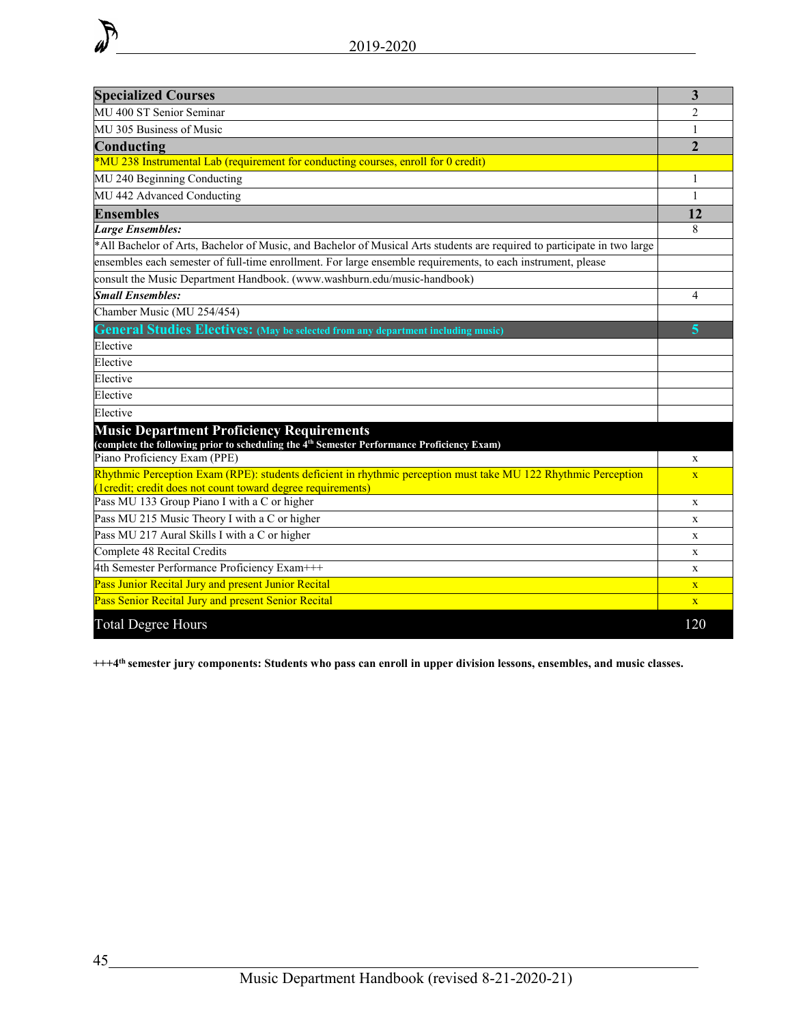| <b>Specialized Courses</b>                                                                                                                                                    | 3                       |  |  |  |  |
|-------------------------------------------------------------------------------------------------------------------------------------------------------------------------------|-------------------------|--|--|--|--|
| MU 400 ST Senior Seminar                                                                                                                                                      |                         |  |  |  |  |
| MU 305 Business of Music                                                                                                                                                      | 1                       |  |  |  |  |
| Conducting                                                                                                                                                                    | $\overline{2}$          |  |  |  |  |
| *MU 238 Instrumental Lab (requirement for conducting courses, enroll for 0 credit)                                                                                            |                         |  |  |  |  |
| MU 240 Beginning Conducting                                                                                                                                                   | 1                       |  |  |  |  |
| MU 442 Advanced Conducting                                                                                                                                                    | $\mathbf{1}$            |  |  |  |  |
| <b>Ensembles</b>                                                                                                                                                              | 12                      |  |  |  |  |
| <b>Large Ensembles:</b>                                                                                                                                                       | 8                       |  |  |  |  |
| *All Bachelor of Arts, Bachelor of Music, and Bachelor of Musical Arts students are required to participate in two large                                                      |                         |  |  |  |  |
| ensembles each semester of full-time enrollment. For large ensemble requirements, to each instrument, please                                                                  |                         |  |  |  |  |
| consult the Music Department Handbook. (www.washburn.edu/music-handbook)                                                                                                      |                         |  |  |  |  |
| <b>Small Ensembles:</b>                                                                                                                                                       | 4                       |  |  |  |  |
| Chamber Music (MU 254/454)                                                                                                                                                    |                         |  |  |  |  |
| <b>General Studies Electives:</b> (May be selected from any department including music)                                                                                       | 5                       |  |  |  |  |
| Elective                                                                                                                                                                      |                         |  |  |  |  |
| Elective                                                                                                                                                                      |                         |  |  |  |  |
| Elective                                                                                                                                                                      |                         |  |  |  |  |
| Elective                                                                                                                                                                      |                         |  |  |  |  |
| Elective                                                                                                                                                                      |                         |  |  |  |  |
| <b>Music Department Proficiency Requirements</b><br>(complete the following prior to scheduling the 4 <sup>th</sup> Semester Performance Proficiency Exam)                    |                         |  |  |  |  |
| Piano Proficiency Exam (PPE)                                                                                                                                                  | $\mathbf x$             |  |  |  |  |
| Rhythmic Perception Exam (RPE): students deficient in rhythmic perception must take MU 122 Rhythmic Perception<br>(1credit; credit does not count toward degree requirements) | $\overline{\mathbf{X}}$ |  |  |  |  |
| Pass MU 133 Group Piano I with a C or higher                                                                                                                                  | X                       |  |  |  |  |
| Pass MU 215 Music Theory I with a C or higher                                                                                                                                 | X                       |  |  |  |  |
| Pass MU 217 Aural Skills I with a C or higher                                                                                                                                 | X                       |  |  |  |  |
| Complete 48 Recital Credits                                                                                                                                                   | X                       |  |  |  |  |
| 4th Semester Performance Proficiency Exam+++                                                                                                                                  | X                       |  |  |  |  |
| Pass Junior Recital Jury and present Junior Recital                                                                                                                           | $\mathbf{x}$            |  |  |  |  |
| Pass Senior Recital Jury and present Senior Recital                                                                                                                           | $\mathbf{X}$            |  |  |  |  |
| <b>Total Degree Hours</b>                                                                                                                                                     | 120                     |  |  |  |  |

**+++4th semester jury components: Students who pass can enroll in upper division lessons, ensembles, and music classes.**